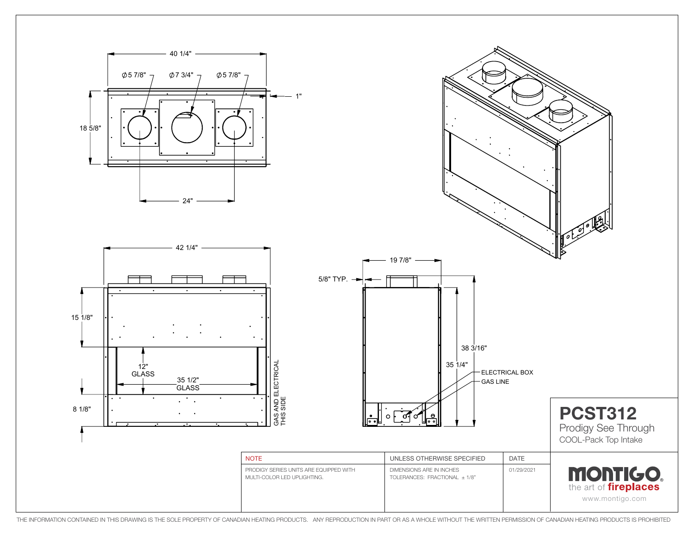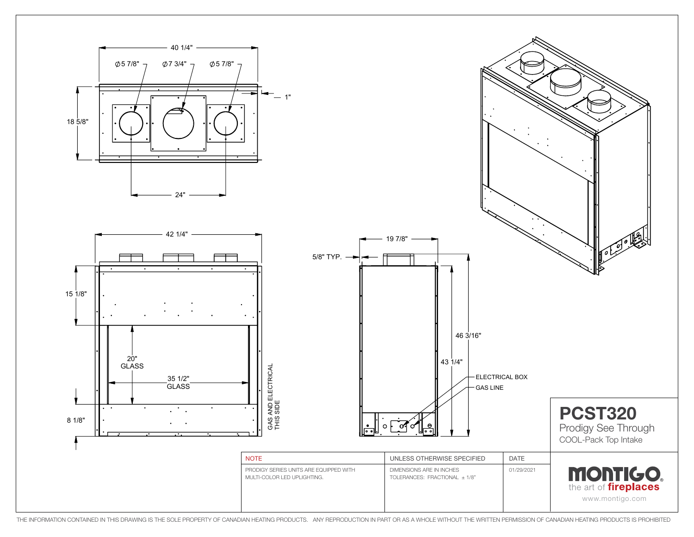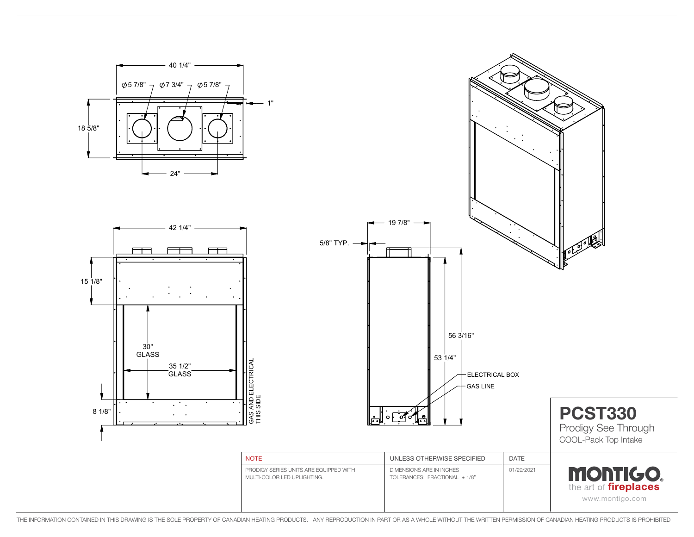

THE INFORMATION CONTAINED IN THIS DRAWING IS THE SOLE PROPERTY OF CANADIAN HEATING PRODUCTS. ANY REPRODUCTION IN PART OR AS A WHOLE WITHOUT THE WRITTEN PERMISSION OF CANADIAN HEATING PRODUCTS IS PROHIBITED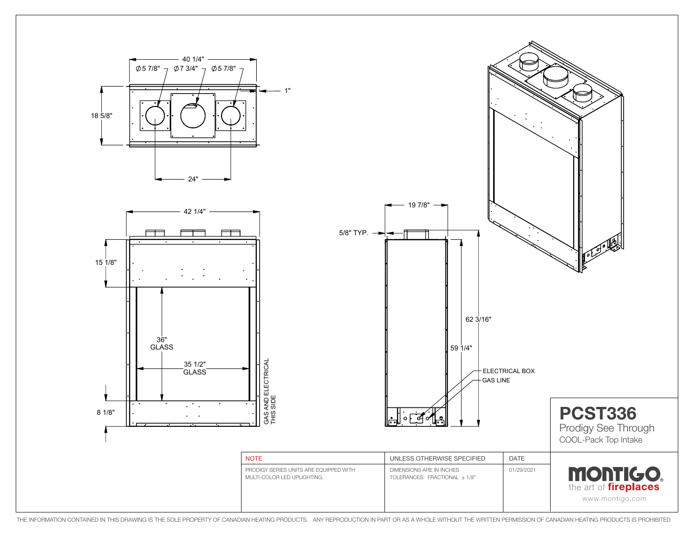

THE INFORMATION CONTAINED IN THIS DRAWING IS THE SOLE PROPERTY OF CANADIAN HEATING PRODUCTS. ANY REPRODUCTION IN PART OR AS A WHOLE WITHOUT THE WRITTEN PERMISSION OF CANADIAN HEATING PRODUCTS IS PROHIBITED